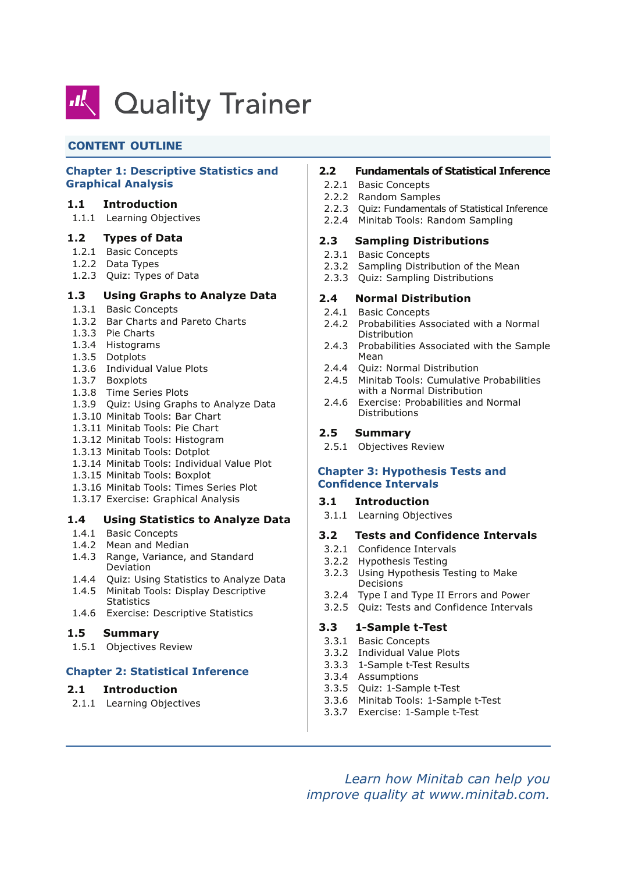

# CONTENT OUTLINE

## **Chapter 1: Descriptive Statistics and Graphical Analysis**

#### **1.1 Introduction**

1.1.1 Learning Objectives

#### **1.2 Types of Data**

- 1.2.1 Basic Concepts
- 1.2.2 Data Types
- 1.2.3 Quiz: Types of Data

## **1.3 Using Graphs to Analyze Data**

- 1.3.1 Basic Concepts
- 1.3.2 Bar Charts and Pareto Charts
- 1.3.3 Pie Charts
- 1.3.4 Histograms
- 1.3.5 Dotplots
- 1.3.6 Individual Value Plots
- 1.3.7 Boxplots
- 1.3.8 Time Series Plots
- 1.3.9 Ouiz: Using Graphs to Analyze Data
- 1.3.10 Minitab Tools: Bar Chart
- 1.3.11 Minitab Tools: Pie Chart
- 1.3.12 Minitab Tools: Histogram
- 1.3.13 Minitab Tools: Dotplot
- 1.3.14 Minitab Tools: Individual Value Plot
- 1.3.15 Minitab Tools: Boxplot
- 1.3.16 Minitab Tools: Times Series Plot
- 1.3.17 Exercise: Graphical Analysis

#### **1.4 Using Statistics to Analyze Data**

- 1.4.1 Basic Concepts
- 1.4.2 Mean and Median
- 1.4.3 Range, Variance, and Standard Deviation
- 1.4.4 Quiz: Using Statistics to Analyze Data
- 1.4.5 Minitab Tools: Display Descriptive **Statistics**
- 1.4.6 Exercise: Descriptive Statistics

#### **1.5 Summary**

1.5.1 Objectives Review

# **Chapter 2: Statistical Inference**

# **2.1 Introduction**

2.1.1 Learning Objectives

## **2.2 Fundamentals of Statistical Inference**

- 2.2.1 Basic Concepts
- 2.2.2 Random Samples
- 2.2.3 Quiz: Fundamentals of Statistical Inference
- 2.2.4 Minitab Tools: Random Sampling

#### **2.3 Sampling Distributions**

- 2.3.1 Basic Concepts
- 2.3.2 Sampling Distribution of the Mean
- 2.3.3 Quiz: Sampling Distributions

## **2.4 Normal Distribution**

- 2.4.1 Basic Concepts
- 2.4.2 Probabilities Associated with a Normal Distribution
- 2.4.3 Probabilities Associated with the Sample Mean
- 2.4.4 Quiz: Normal Distribution
- 2.4.5 Minitab Tools: Cumulative Probabilities with a Normal Distribution
- 2.4.6 Exercise: Probabilities and Normal Distributions

# **2.5 Summary**

2.5.1 Objectives Review

# **Chapter 3: Hypothesis Tests and**

#### **3.1 Introduction**

3.1.1 Learning Objectives

# **3.2 Tests and Confidence Intervals**

- 3.2.1 Confidence Intervals
- 3.2.2 Hypothesis Testing
- 3.2.3 Using Hypothesis Testing to Make **Decisions**
- 3.2.4 Type I and Type II Errors and Power
- 3.2.5 Quiz: Tests and Confidence Intervals

#### **3.3 1-Sample t-Test**

- 3.3.1 Basic Concepts
- 3.3.2 Individual Value Plots
- 3.3.3 1-Sample t-Test Results
- 3.3.4 Assumptions
- 3.3.5 Quiz: 1-Sample t-Test
- 3.3.6 Minitab Tools: 1-Sample t-Test
- 3.3.7 Exercise: 1-Sample t-Test

*Learn how Minitab can help you improve quality at www.minitab.com.*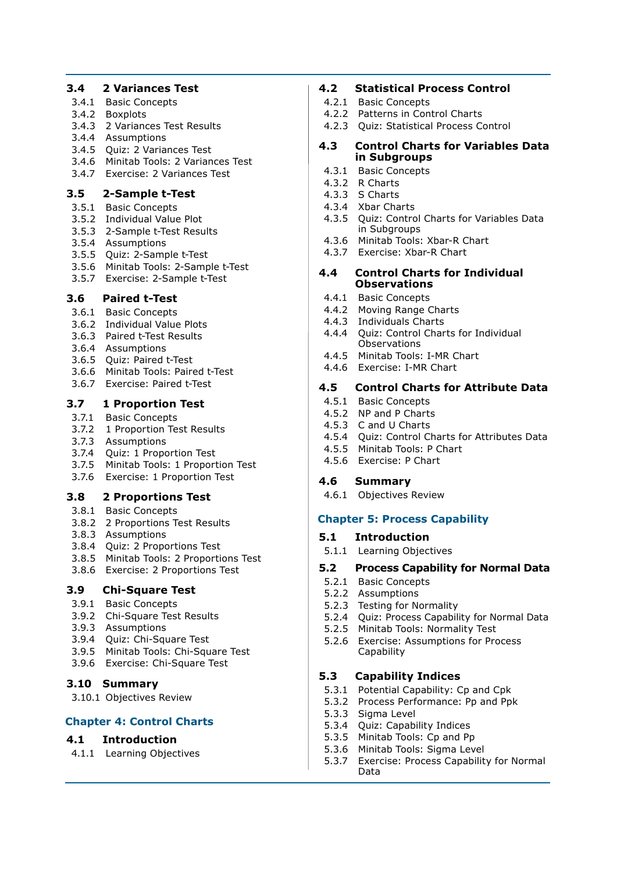#### **3.4 2 Variances Test**

- 3.4.1 Basic Concepts
- 3.4.2 Boxplots
- 3.4.3 2 Variances Test Results
- 3.4.4 Assumptions
- 3.4.5 Quiz: 2 Variances Test
- 3.4.6 Minitab Tools: 2 Variances Test
- 3.4.7 Exercise: 2 Variances Test

#### **3.5 2-Sample t-Test**

- 3.5.1 Basic Concepts
- 3.5.2 Individual Value Plot
- 3.5.3 2-Sample t-Test Results
- 3.5.4 Assumptions
- 3.5.5 Quiz: 2-Sample t-Test
- 3.5.6 Minitab Tools: 2-Sample t-Test
- 3.5.7 Exercise: 2-Sample t-Test

#### **3.6 Paired t-Test**

- 3.6.1 Basic Concepts
- 3.6.2 Individual Value Plots
- 3.6.3 Paired t-Test Results
- 3.6.4 Assumptions
- 3.6.5 Quiz: Paired t-Test
- 3.6.6 Minitab Tools: Paired t-Test
- 3.6.7 Exercise: Paired t-Test

#### **3.7 1 Proportion Test**

- 3.7.1 Basic Concepts
- 3.7.2 1 Proportion Test Results
- 3.7.3 Assumptions
- 3.7.4 Quiz: 1 Proportion Test
- 3.7.5 Minitab Tools: 1 Proportion Test
- 3.7.6 Exercise: 1 Proportion Test

# **3.8 2 Proportions Test**

- 3.8.1 Basic Concepts
- 3.8.2 2 Proportions Test Results
- 3.8.3 Assumptions
- 3.8.4 Quiz: 2 Proportions Test
- 3.8.5 Minitab Tools: 2 Proportions Test
- 3.8.6 Exercise: 2 Proportions Test

#### **3.9 Chi-Square Test**

- 3.9.1 Basic Concepts
- 3.9.2 Chi-Square Test Results
- 3.9.3 Assumptions
- 3.9.4 Quiz: Chi-Square Test
- 3.9.5 Minitab Tools: Chi-Square Test
- 3.9.6 Exercise: Chi-Square Test

#### **3.10 Summary**

3.10.1 Objectives Review

# **Chapter 4: Control Charts**

#### **4.1 Introduction**

4.1.1 Learning Objectives

## **4.2 Statistical Process Control**

- 4.2.1 Basic Concepts
- 4.2.2 Patterns in Control Charts
- 4.2.3 Quiz: Statistical Process Control

#### **4.3 Control Charts for Variables Data in Subgroups**

- 4.3.1 Basic Concepts
- 4.3.2 R Charts
- 4.3.3 S Charts
- 4.3.4 Xbar Charts
- 4.3.5 Quiz: Control Charts for Variables Data in Subgroups
- 4.3.6 Minitab Tools: Xbar-R Chart
- 4.3.7 Exercise: Xbar-R Chart

#### **4.4 Control Charts for Individual Observations**

- 4.4.1 Basic Concepts
- 4.4.2 Moving Range Charts
- 4.4.3 Individuals Charts
- 4.4.4 Quiz: Control Charts for Individual **Observations**
- 4.4.5 Minitab Tools: I-MR Chart
- 4.4.6 Exercise: I-MR Chart

# **4.5 Control Charts for Attribute Data**

- 4.5.1 Basic Concepts
- 4.5.2 NP and P Charts
- 4.5.3 C and U Charts
- 4.5.4 Quiz: Control Charts for Attributes Data
- 4.5.5 Minitab Tools: P Chart
- 4.5.6 Exercise: P Chart

## **4.6 Summary**

4.6.1 Objectives Review

# **Chapter 5: Process Capability**

#### **5.1 Introduction**

5.1.1 Learning Objectives

#### **5.2 Process Capability for Normal Data**

- 5.2.1 Basic Concepts
- 5.2.2 Assumptions
- 5.2.3 Testing for Normality
- 5.2.4 Quiz: Process Capability for Normal Data
- 5.2.5 Minitab Tools: Normality Test
- 5.2.6 Exercise: Assumptions for Process **Capability**

#### **5.3 Capability Indices**

- 5.3.1 Potential Capability: Cp and Cpk
- 5.3.2 Process Performance: Pp and Ppk
- 5.3.3 Sigma Level
- 5.3.4 Quiz: Capability Indices
- 5.3.5 Minitab Tools: Cp and Pp
- 5.3.6 Minitab Tools: Sigma Level
- 5.3.7 Exercise: Process Capability for Normal Data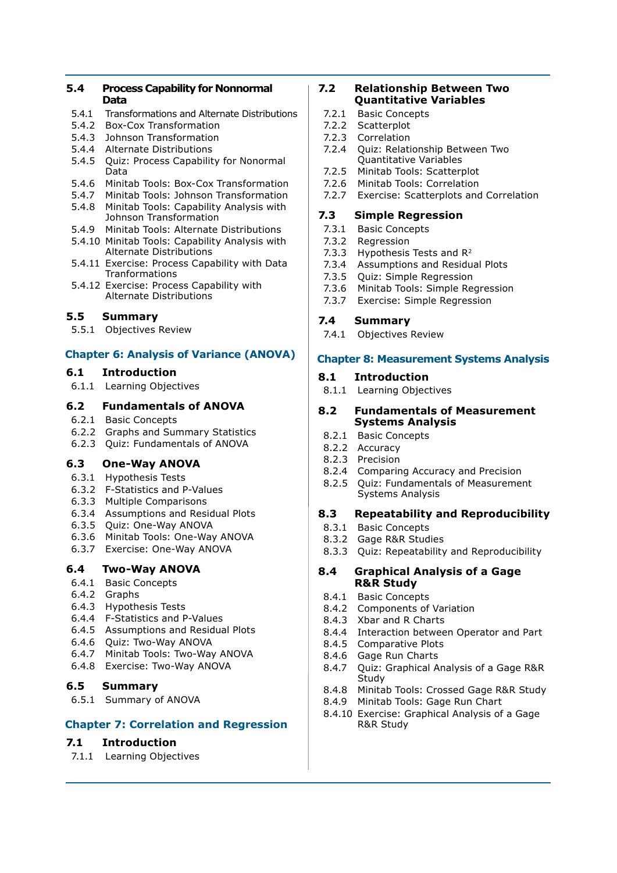#### **5.4 Process Capability for Nonnormal Data**

- 5.4.1 Transformations and Alternate Distributions
- 5.4.2 Box-Cox Transformation
- 5.4.3 Johnson Transformation
- 5.4.4 Alternate Distributions
- 5.4.5 Quiz: Process Capability for Nonormal Data
- 5.4.6 Minitab Tools: Box-Cox Transformation
- 5.4.7 Minitab Tools: Johnson Transformation
- 5.4.8 Minitab Tools: Capability Analysis with Johnson Transformation
- 5.4.9 Minitab Tools: Alternate Distributions
- 5.4.10 Minitab Tools: Capability Analysis with Alternate Distributions
- 5.4.11 Exercise: Process Capability with Data Tranformations
- 5.4.12 Exercise: Process Capability with Alternate Distributions

## **5.5 Summary**

5.5.1 Objectives Review

# **Chapter 6: Analysis of Variance (ANOVA)**

#### **6.1 Introduction**

6.1.1 Learning Objectives

### **6.2 Fundamentals of ANOVA**

- 6.2.1 Basic Concepts
- 6.2.2 Graphs and Summary Statistics
- 6.2.3 Quiz: Fundamentals of ANOVA

## **6.3 One-Way ANOVA**

- 6.3.1 Hypothesis Tests
- 6.3.2 F-Statistics and P-Values
- 6.3.3 Multiple Comparisons
- 6.3.4 Assumptions and Residual Plots
- 6.3.5 Quiz: One-Way ANOVA
- 6.3.6 Minitab Tools: One-Way ANOVA
- 6.3.7 Exercise: One-Way ANOVA

#### **6.4 Two-Way ANOVA**

- 6.4.1 Basic Concepts
- 6.4.2 Graphs
- 6.4.3 Hypothesis Tests
- 6.4.4 F-Statistics and P-Values
- 6.4.5 Assumptions and Residual Plots
- 6.4.6 Quiz: Two-Way ANOVA
- 6.4.7 Minitab Tools: Two-Way ANOVA
- 6.4.8 Exercise: Two-Way ANOVA

#### **6.5 Summary**

6.5.1 Summary of ANOVA

#### **Chapter 7: Correlation and Regression**

# **7.1 Introduction**

7.1.1 Learning Objectives

#### **7.2 Relationship Between Two Quantitative Variables**

- 7.2.1 Basic Concepts
- 7.2.2 Scatterplot
- 7.2.3 Correlation
- 7.2.4 Quiz: Relationship Between Two Quantitative Variables
- 7.2.5 Minitab Tools: Scatterplot
- 7.2.6 Minitab Tools: Correlation
- 7.2.7 Exercise: Scatterplots and Correlation

## **7.3 Simple Regression**

- 7.3.1 Basic Concepts
- 7.3.2 Regression
- 7.3.3 Hypothesis Tests and R<sup>2</sup>
- 7.3.4 Assumptions and Residual Plots
- 7.3.5 Quiz: Simple Regression
- 7.3.6 Minitab Tools: Simple Regression
- 7.3.7 Exercise: Simple Regression

## **7.4 Summary**

7.4.1 Objectives Review

#### **Chapter 8: Measurement Systems Analysis**

#### **8.1 Introduction**

8.1.1 Learning Objectives

#### **8.2 Fundamentals of Measurement Systems Analysis**

- 8.2.1 Basic Concepts
- 8.2.2 Accuracy
- 8.2.3 Precision
- 8.2.4 Comparing Accuracy and Precision
- 8.2.5 Quiz: Fundamentals of Measurement Systems Analysis

#### **8.3 Repeatability and Reproducibility**

- 8.3.1 Basic Concepts
- 8.3.2 Gage R&R Studies
- 8.3.3 Quiz: Repeatability and Reproducibility

#### **8.4 Graphical Analysis of a Gage R&R Study**

- 8.4.1 Basic Concepts
- 8.4.2 Components of Variation
- 8.4.3 Xbar and R Charts
- 8.4.4 Interaction between Operator and Part
- 8.4.5 Comparative Plots
- 8.4.6 Gage Run Charts
- 8.4.7 Quiz: Graphical Analysis of a Gage R&R **Study**
- 8.4.8 Minitab Tools: Crossed Gage R&R Study
- 8.4.9 Minitab Tools: Gage Run Chart
- 8.4.10 Exercise: Graphical Analysis of a Gage R&R Study